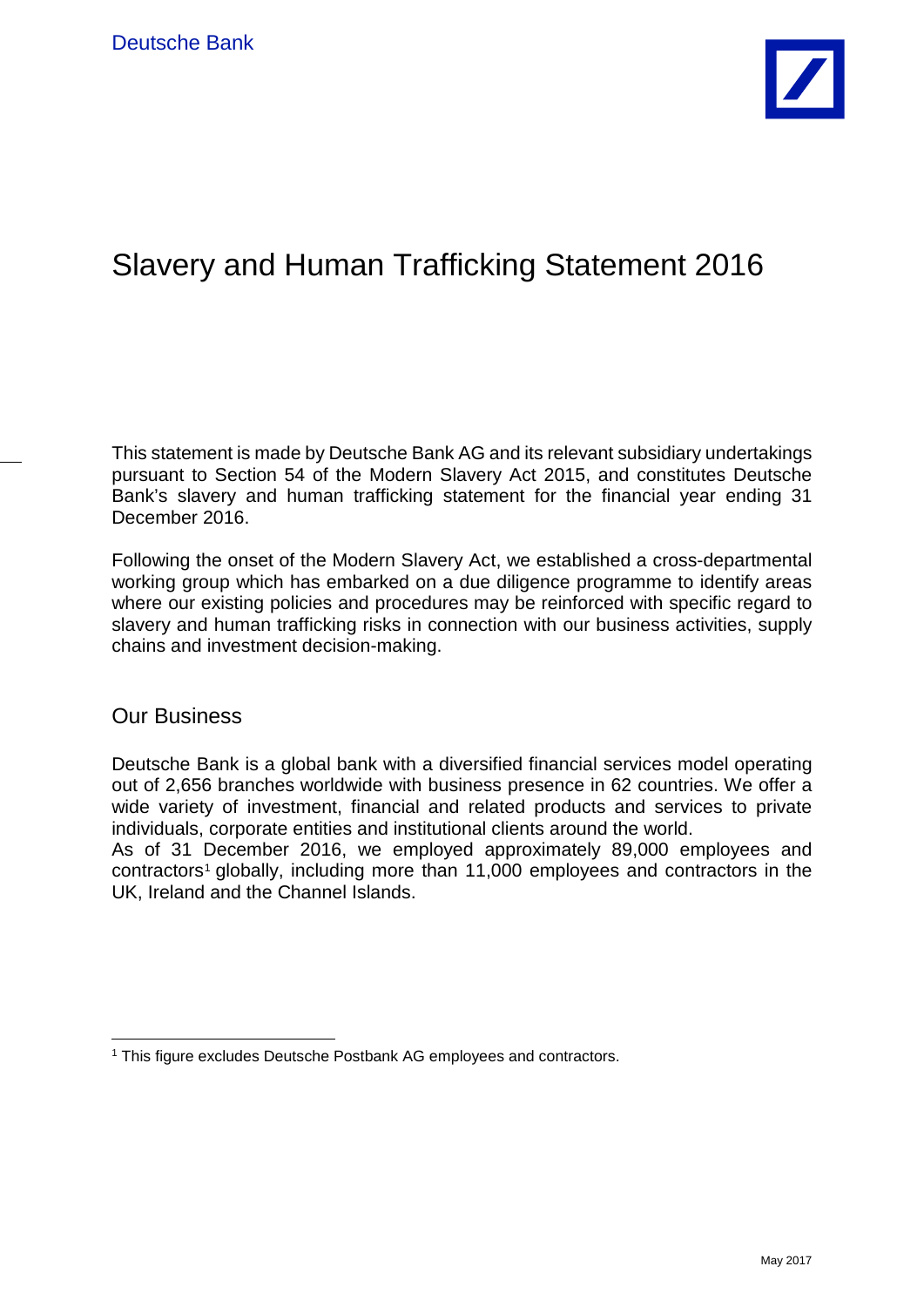

# Slavery and Human Trafficking Statement 2016

This statement is made by Deutsche Bank AG and its relevant subsidiary undertakings pursuant to Section 54 of the Modern Slavery Act 2015, and constitutes Deutsche Bank's slavery and human trafficking statement for the financial year ending 31 December 2016.

Following the onset of the Modern Slavery Act, we established a cross-departmental working group which has embarked on a due diligence programme to identify areas where our existing policies and procedures may be reinforced with specific regard to slavery and human trafficking risks in connection with our business activities, supply chains and investment decision-making.

#### Our Business

Deutsche Bank is a global bank with a diversified financial services model operating out of 2,656 branches worldwide with business presence in 62 countries. We offer a wide variety of investment, financial and related products and services to private individuals, corporate entities and institutional clients around the world.

As of 31 December 2016, we employed approximately 89,000 employees and contractors<sup>[1](#page-0-0)</sup> globally, including more than 11,000 employees and contractors in the UK, Ireland and the Channel Islands.

<span id="page-0-0"></span><sup>&</sup>lt;sup>1</sup> This figure excludes Deutsche Postbank AG employees and contractors.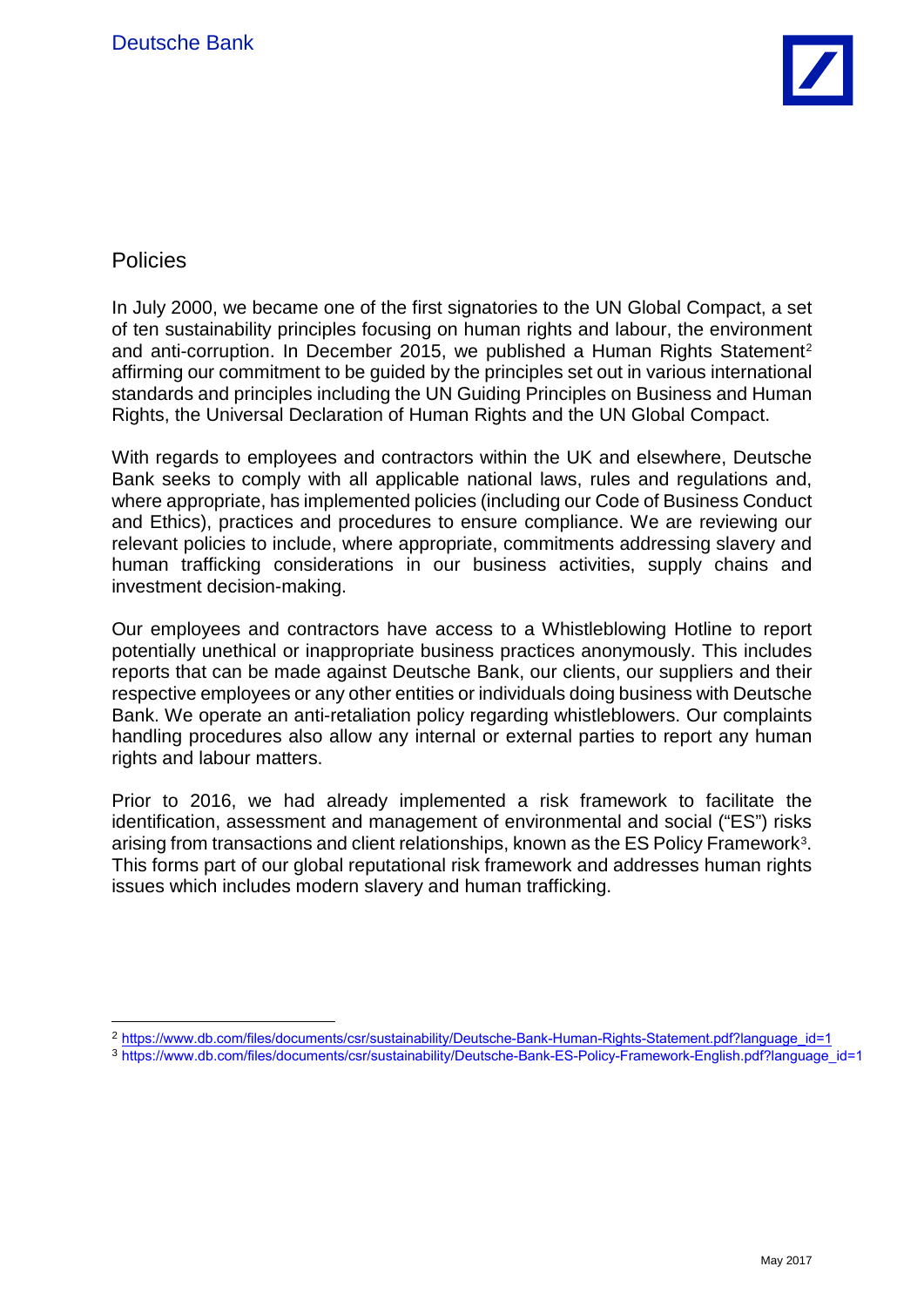

# **Policies**

In July 2000, we became one of the first signatories to the UN Global Compact, a set of ten sustainability principles focusing on human rights and labour, the environment and anti-corruption. In December [2](#page-1-0)015, we published a Human Rights Statement<sup>2</sup> affirming our commitment to be guided by the principles set out in various international standards and principles including the UN Guiding Principles on Business and Human Rights, the Universal Declaration of Human Rights and the UN Global Compact.

With regards to employees and contractors within the UK and elsewhere, Deutsche Bank seeks to comply with all applicable national laws, rules and regulations and, where appropriate, has implemented policies (including our Code of Business Conduct and Ethics), practices and procedures to ensure compliance. We are reviewing our relevant policies to include, where appropriate, commitments addressing slavery and human trafficking considerations in our business activities, supply chains and investment decision-making.

Our employees and contractors have access to a Whistleblowing Hotline to report potentially unethical or inappropriate business practices anonymously. This includes reports that can be made against Deutsche Bank, our clients, our suppliers and their respective employees or any other entities or individuals doing business with Deutsche Bank. We operate an anti-retaliation policy regarding whistleblowers. Our complaints handling procedures also allow any internal or external parties to report any human rights and labour matters.

Prior to 2016, we had already implemented a risk framework to facilitate the identification, assessment and management of environmental and social ("ES") risks arising from transactions and client relationships, known as the ES Policy Framework[3.](#page-1-1) This forms part of our global reputational risk framework and addresses human rights issues which includes modern slavery and human trafficking.

<span id="page-1-0"></span><sup>2</sup> [https://www.db.com/files/documents/csr/sustainability/Deutsche-Bank-Human-Rights-Statement.pdf?language\\_id=1](https://www.db.com/files/documents/csr/sustainability/Deutsche-Bank-Human-Rights-Statement.pdf?language_id=1)

<span id="page-1-1"></span><sup>3</sup> [https://www.db.com/files/documents/csr/sustainability/Deutsche-Bank-ES-Policy-Framework-English.pdf?language\\_id=1](https://www.db.com/files/documents/csr/sustainability/Deutsche-Bank-ES-Policy-Framework-English.pdf?language_id=1)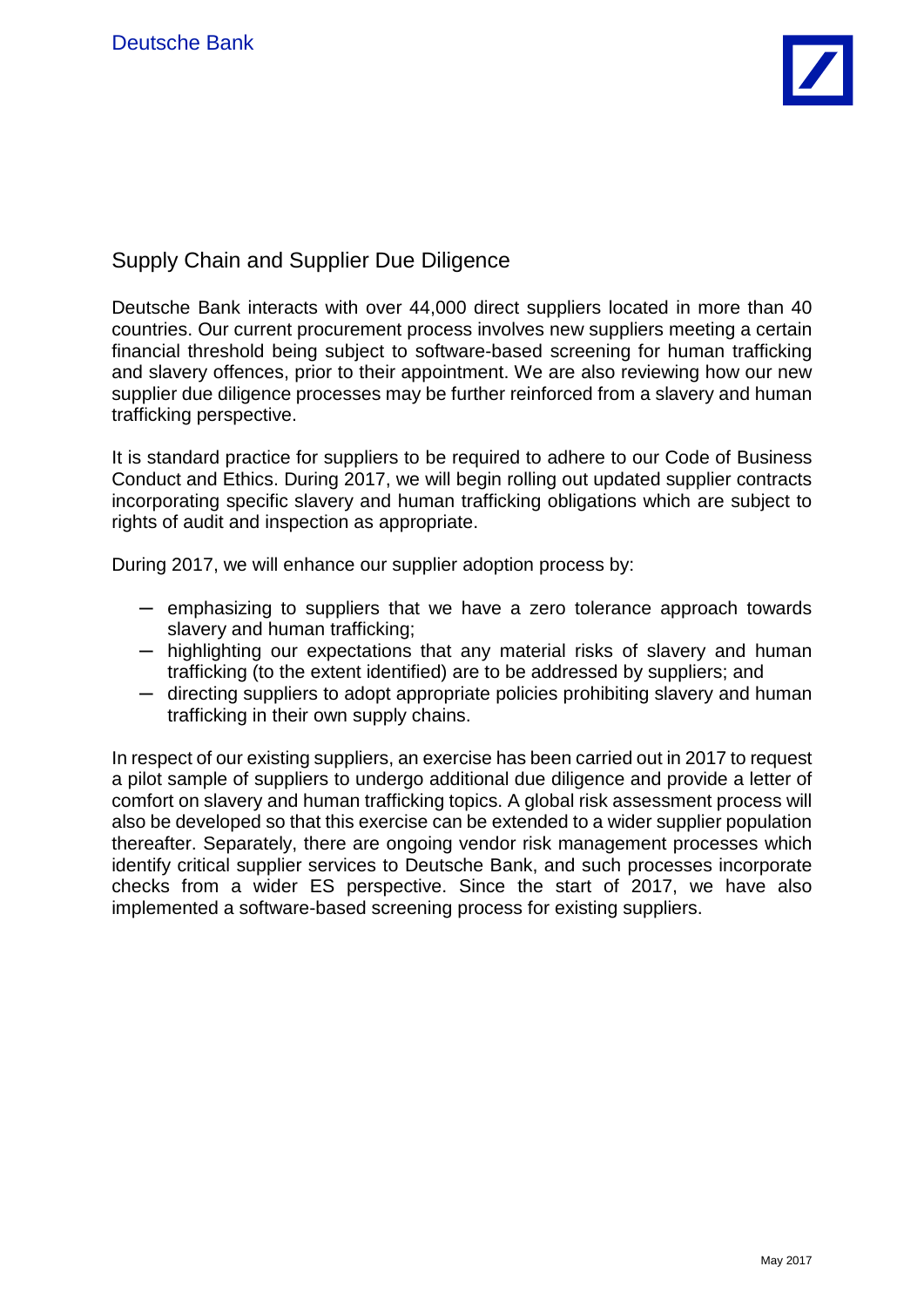

# Supply Chain and Supplier Due Diligence

Deutsche Bank interacts with over 44,000 direct suppliers located in more than 40 countries. Our current procurement process involves new suppliers meeting a certain financial threshold being subject to software-based screening for human trafficking and slavery offences, prior to their appointment. We are also reviewing how our new supplier due diligence processes may be further reinforced from a slavery and human trafficking perspective.

It is standard practice for suppliers to be required to adhere to our Code of Business Conduct and Ethics. During 2017, we will begin rolling out updated supplier contracts incorporating specific slavery and human trafficking obligations which are subject to rights of audit and inspection as appropriate.

During 2017, we will enhance our supplier adoption process by:

- ─ emphasizing to suppliers that we have a zero tolerance approach towards slavery and human trafficking;
- ─ highlighting our expectations that any material risks of slavery and human trafficking (to the extent identified) are to be addressed by suppliers; and
- $-$  directing suppliers to adopt appropriate policies prohibiting slavery and human trafficking in their own supply chains.

In respect of our existing suppliers, an exercise has been carried out in 2017 to request a pilot sample of suppliers to undergo additional due diligence and provide a letter of comfort on slavery and human trafficking topics. A global risk assessment process will also be developed so that this exercise can be extended to a wider supplier population thereafter. Separately, there are ongoing vendor risk management processes which identify critical supplier services to Deutsche Bank, and such processes incorporate checks from a wider ES perspective. Since the start of 2017, we have also implemented a software-based screening process for existing suppliers.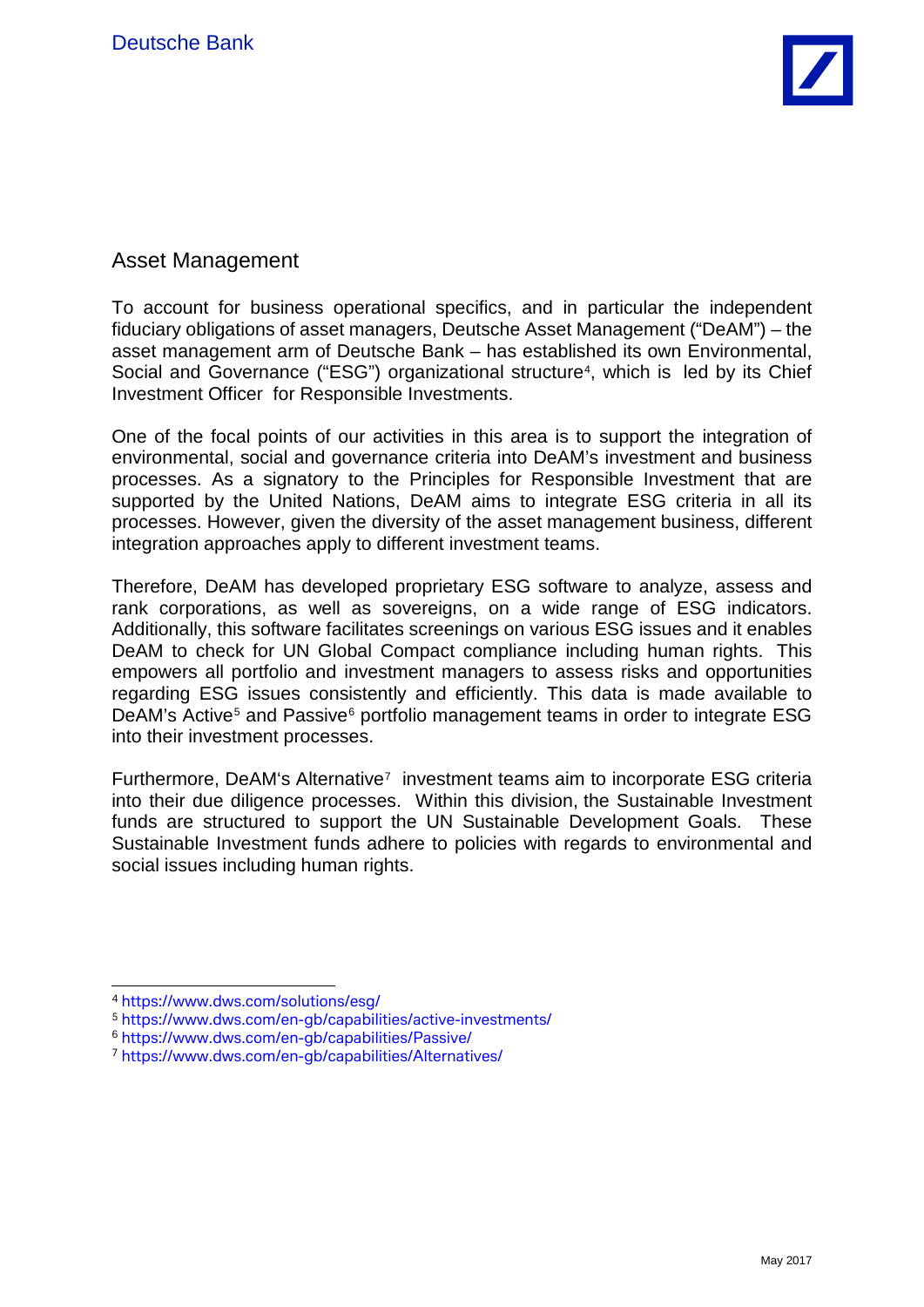

## Asset Management

To account for business operational specifics, and in particular the independent fiduciary obligations of asset managers, Deutsche Asset Management ("DeAM") – the asset management arm of Deutsche Bank – has established its own Environmental, Social and Governance ("ESG") organizational structure<sup>4</sup>, which is led by its Chief Investment Officer for Responsible Investments.

One of the focal points of our activities in this area is to support the integration of environmental, social and governance criteria into DeAM's investment and business processes. As a signatory to the Principles for Responsible Investment that are supported by the United Nations, DeAM aims to integrate ESG criteria in all its processes. However, given the diversity of the asset management business, different integration approaches apply to different investment teams.

Therefore, DeAM has developed proprietary ESG software to analyze, assess and rank corporations, as well as sovereigns, on a wide range of ESG indicators. Additionally, this software facilitates screenings on various ESG issues and it enables DeAM to check for UN Global Compact compliance including human rights. This empowers all portfolio and investment managers to assess risks and opportunities regarding ESG issues consistently and efficiently. This data is made available to DeAM's Active<sup>[5](#page-3-1)</sup> and Passive<sup>[6](#page-3-2)</sup> portfolio management teams in order to integrate ESG into their investment processes.

Furthermore, DeAM's Alternative<sup>7</sup> investment teams aim to incorporate ESG criteria into their due diligence processes. Within this division, the Sustainable Investment funds are structured to support the UN Sustainable Development Goals. These Sustainable Investment funds adhere to policies with regards to environmental and social issues including human rights.

<span id="page-3-0"></span><sup>4</sup> <https://www.dws.com/solutions/esg/>

<span id="page-3-1"></span><sup>5</sup> <https://www.dws.com/en-gb/capabilities/active-investments/>

<span id="page-3-2"></span><sup>6</sup> <https://www.dws.com/en-gb/capabilities/Passive/>

<span id="page-3-3"></span><sup>7</sup> <https://www.dws.com/en-gb/capabilities/Alternatives/>